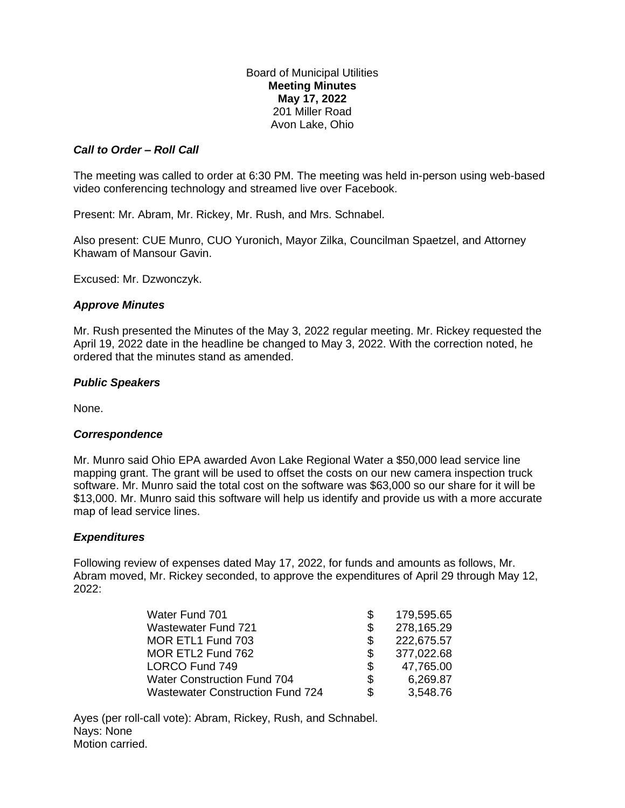Board of Municipal Utilities **Meeting Minutes May 17, 2022** 201 Miller Road Avon Lake, Ohio

## *Call to Order – Roll Call*

The meeting was called to order at 6:30 PM. The meeting was held in-person using web-based video conferencing technology and streamed live over Facebook.

Present: Mr. Abram, Mr. Rickey, Mr. Rush, and Mrs. Schnabel.

Also present: CUE Munro, CUO Yuronich, Mayor Zilka, Councilman Spaetzel, and Attorney Khawam of Mansour Gavin.

Excused: Mr. Dzwonczyk.

### *Approve Minutes*

Mr. Rush presented the Minutes of the May 3, 2022 regular meeting. Mr. Rickey requested the April 19, 2022 date in the headline be changed to May 3, 2022. With the correction noted, he ordered that the minutes stand as amended.

#### *Public Speakers*

None.

#### *Correspondence*

Mr. Munro said Ohio EPA awarded Avon Lake Regional Water a \$50,000 lead service line mapping grant. The grant will be used to offset the costs on our new camera inspection truck software. Mr. Munro said the total cost on the software was \$63,000 so our share for it will be \$13,000. Mr. Munro said this software will help us identify and provide us with a more accurate map of lead service lines.

#### *Expenditures*

Following review of expenses dated May 17, 2022, for funds and amounts as follows, Mr. Abram moved, Mr. Rickey seconded, to approve the expenditures of April 29 through May 12, 2022:

| Water Fund 701                          | S   | 179,595.65 |
|-----------------------------------------|-----|------------|
| <b>Wastewater Fund 721</b>              | S   | 278,165.29 |
| MOR ETL1 Fund 703                       | S   | 222,675.57 |
| MOR ETL2 Fund 762                       | S   | 377,022.68 |
| LORCO Fund 749                          | S   | 47,765.00  |
| <b>Water Construction Fund 704</b>      | \$. | 6,269.87   |
| <b>Wastewater Construction Fund 724</b> | S   | 3,548.76   |

Ayes (per roll-call vote): Abram, Rickey, Rush, and Schnabel. Nays: None Motion carried.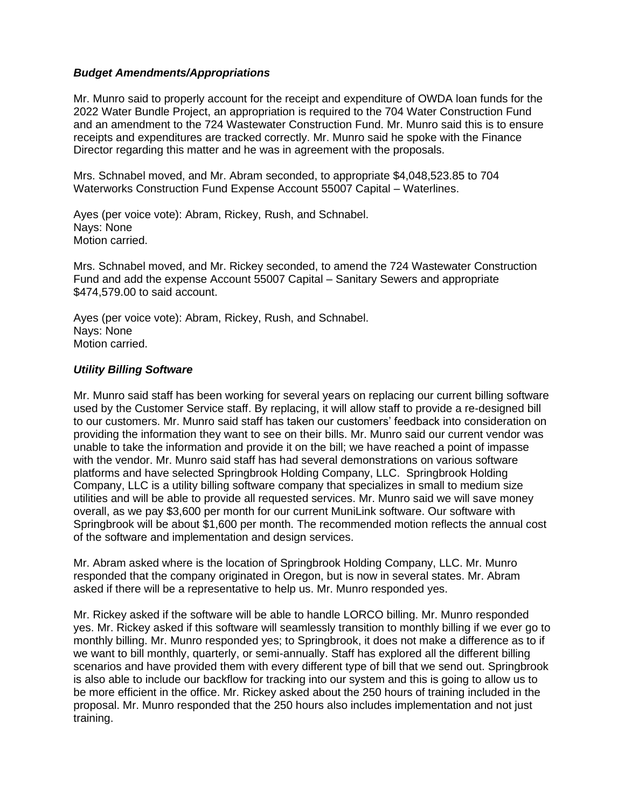### *Budget Amendments/Appropriations*

Mr. Munro said to properly account for the receipt and expenditure of OWDA loan funds for the 2022 Water Bundle Project, an appropriation is required to the 704 Water Construction Fund and an amendment to the 724 Wastewater Construction Fund. Mr. Munro said this is to ensure receipts and expenditures are tracked correctly. Mr. Munro said he spoke with the Finance Director regarding this matter and he was in agreement with the proposals.

Mrs. Schnabel moved, and Mr. Abram seconded, to appropriate \$4,048,523.85 to 704 Waterworks Construction Fund Expense Account 55007 Capital – Waterlines.

Ayes (per voice vote): Abram, Rickey, Rush, and Schnabel. Nays: None Motion carried.

Mrs. Schnabel moved, and Mr. Rickey seconded, to amend the 724 Wastewater Construction Fund and add the expense Account 55007 Capital – Sanitary Sewers and appropriate \$474,579.00 to said account.

Ayes (per voice vote): Abram, Rickey, Rush, and Schnabel. Nays: None Motion carried.

### *Utility Billing Software*

Mr. Munro said staff has been working for several years on replacing our current billing software used by the Customer Service staff. By replacing, it will allow staff to provide a re-designed bill to our customers. Mr. Munro said staff has taken our customers' feedback into consideration on providing the information they want to see on their bills. Mr. Munro said our current vendor was unable to take the information and provide it on the bill; we have reached a point of impasse with the vendor. Mr. Munro said staff has had several demonstrations on various software platforms and have selected Springbrook Holding Company, LLC. Springbrook Holding Company, LLC is a utility billing software company that specializes in small to medium size utilities and will be able to provide all requested services. Mr. Munro said we will save money overall, as we pay \$3,600 per month for our current MuniLink software. Our software with Springbrook will be about \$1,600 per month. The recommended motion reflects the annual cost of the software and implementation and design services.

Mr. Abram asked where is the location of Springbrook Holding Company, LLC. Mr. Munro responded that the company originated in Oregon, but is now in several states. Mr. Abram asked if there will be a representative to help us. Mr. Munro responded yes.

Mr. Rickey asked if the software will be able to handle LORCO billing. Mr. Munro responded yes. Mr. Rickey asked if this software will seamlessly transition to monthly billing if we ever go to monthly billing. Mr. Munro responded yes; to Springbrook, it does not make a difference as to if we want to bill monthly, quarterly, or semi-annually. Staff has explored all the different billing scenarios and have provided them with every different type of bill that we send out. Springbrook is also able to include our backflow for tracking into our system and this is going to allow us to be more efficient in the office. Mr. Rickey asked about the 250 hours of training included in the proposal. Mr. Munro responded that the 250 hours also includes implementation and not just training.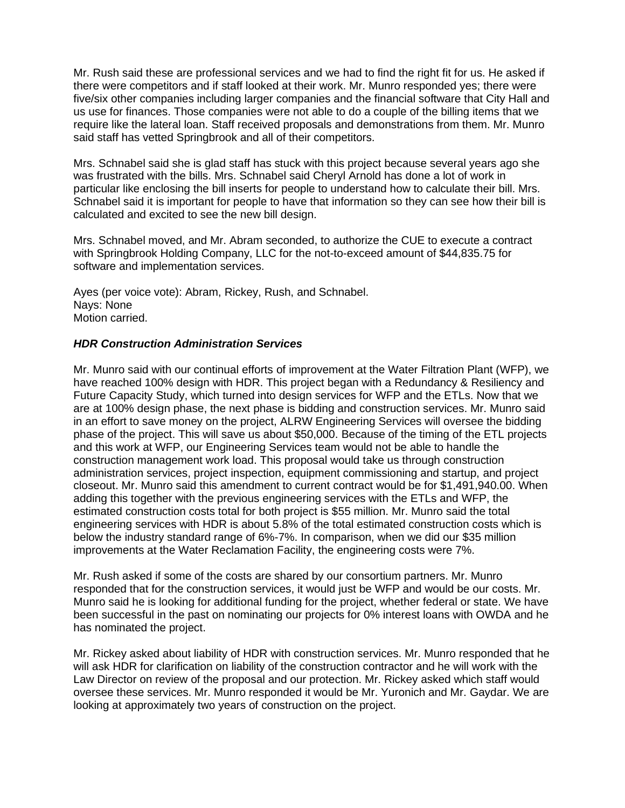Mr. Rush said these are professional services and we had to find the right fit for us. He asked if there were competitors and if staff looked at their work. Mr. Munro responded yes; there were five/six other companies including larger companies and the financial software that City Hall and us use for finances. Those companies were not able to do a couple of the billing items that we require like the lateral loan. Staff received proposals and demonstrations from them. Mr. Munro said staff has vetted Springbrook and all of their competitors.

Mrs. Schnabel said she is glad staff has stuck with this project because several years ago she was frustrated with the bills. Mrs. Schnabel said Cheryl Arnold has done a lot of work in particular like enclosing the bill inserts for people to understand how to calculate their bill. Mrs. Schnabel said it is important for people to have that information so they can see how their bill is calculated and excited to see the new bill design.

Mrs. Schnabel moved, and Mr. Abram seconded, to authorize the CUE to execute a contract with Springbrook Holding Company, LLC for the not-to-exceed amount of \$44,835.75 for software and implementation services.

Ayes (per voice vote): Abram, Rickey, Rush, and Schnabel. Nays: None Motion carried.

### *HDR Construction Administration Services*

Mr. Munro said with our continual efforts of improvement at the Water Filtration Plant (WFP), we have reached 100% design with HDR. This project began with a Redundancy & Resiliency and Future Capacity Study, which turned into design services for WFP and the ETLs. Now that we are at 100% design phase, the next phase is bidding and construction services. Mr. Munro said in an effort to save money on the project, ALRW Engineering Services will oversee the bidding phase of the project. This will save us about \$50,000. Because of the timing of the ETL projects and this work at WFP, our Engineering Services team would not be able to handle the construction management work load. This proposal would take us through construction administration services, project inspection, equipment commissioning and startup, and project closeout. Mr. Munro said this amendment to current contract would be for \$1,491,940.00. When adding this together with the previous engineering services with the ETLs and WFP, the estimated construction costs total for both project is \$55 million. Mr. Munro said the total engineering services with HDR is about 5.8% of the total estimated construction costs which is below the industry standard range of 6%-7%. In comparison, when we did our \$35 million improvements at the Water Reclamation Facility, the engineering costs were 7%.

Mr. Rush asked if some of the costs are shared by our consortium partners. Mr. Munro responded that for the construction services, it would just be WFP and would be our costs. Mr. Munro said he is looking for additional funding for the project, whether federal or state. We have been successful in the past on nominating our projects for 0% interest loans with OWDA and he has nominated the project.

Mr. Rickey asked about liability of HDR with construction services. Mr. Munro responded that he will ask HDR for clarification on liability of the construction contractor and he will work with the Law Director on review of the proposal and our protection. Mr. Rickey asked which staff would oversee these services. Mr. Munro responded it would be Mr. Yuronich and Mr. Gaydar. We are looking at approximately two years of construction on the project.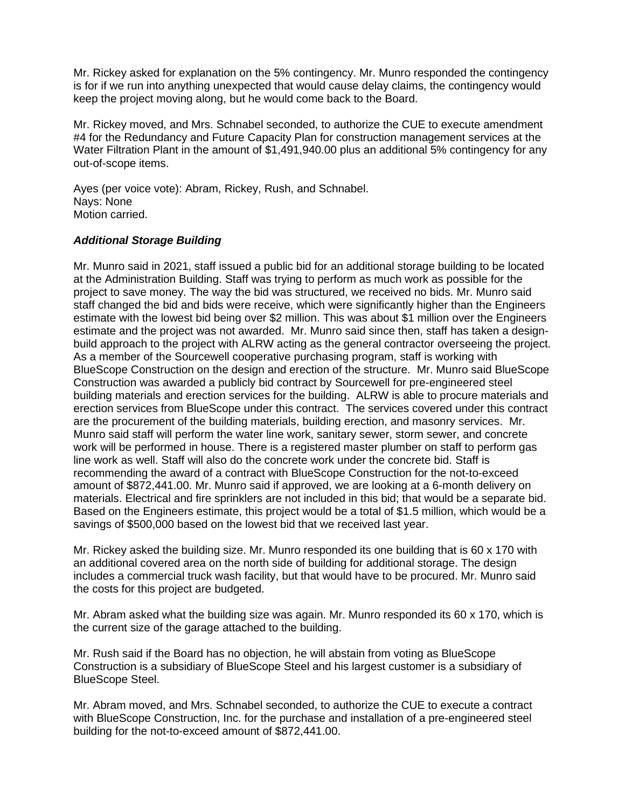Mr. Rickey asked for explanation on the 5% contingency. Mr. Munro responded the contingency is for if we run into anything unexpected that would cause delay claims, the contingency would keep the project moving along, but he would come back to the Board.

Mr. Rickey moved, and Mrs. Schnabel seconded, to authorize the CUE to execute amendment #4 for the Redundancy and Future Capacity Plan for construction management services at the Water Filtration Plant in the amount of \$1,491,940.00 plus an additional 5% contingency for any out-of-scope items.

Ayes (per voice vote): Abram, Rickey, Rush, and Schnabel. Nays: None Motion carried.

# *Additional Storage Building*

Mr. Munro said in 2021, staff issued a public bid for an additional storage building to be located at the Administration Building. Staff was trying to perform as much work as possible for the project to save money. The way the bid was structured, we received no bids. Mr. Munro said staff changed the bid and bids were receive, which were significantly higher than the Engineers estimate with the lowest bid being over \$2 million. This was about \$1 million over the Engineers estimate and the project was not awarded. Mr. Munro said since then, staff has taken a designbuild approach to the project with ALRW acting as the general contractor overseeing the project. As a member of the Sourcewell cooperative purchasing program, staff is working with BlueScope Construction on the design and erection of the structure. Mr. Munro said BlueScope Construction was awarded a publicly bid contract by Sourcewell for pre-engineered steel building materials and erection services for the building. ALRW is able to procure materials and erection services from BlueScope under this contract. The services covered under this contract are the procurement of the building materials, building erection, and masonry services. Mr. Munro said staff will perform the water line work, sanitary sewer, storm sewer, and concrete work will be performed in house. There is a registered master plumber on staff to perform gas line work as well. Staff will also do the concrete work under the concrete bid. Staff is recommending the award of a contract with BlueScope Construction for the not-to-exceed amount of \$872,441.00. Mr. Munro said if approved, we are looking at a 6-month delivery on materials. Electrical and fire sprinklers are not included in this bid; that would be a separate bid. Based on the Engineers estimate, this project would be a total of \$1.5 million, which would be a savings of \$500,000 based on the lowest bid that we received last year.

Mr. Rickey asked the building size. Mr. Munro responded its one building that is 60 x 170 with an additional covered area on the north side of building for additional storage. The design includes a commercial truck wash facility, but that would have to be procured. Mr. Munro said the costs for this project are budgeted.

Mr. Abram asked what the building size was again. Mr. Munro responded its 60 x 170, which is the current size of the garage attached to the building.

Mr. Rush said if the Board has no objection, he will abstain from voting as BlueScope Construction is a subsidiary of BlueScope Steel and his largest customer is a subsidiary of BlueScope Steel.

Mr. Abram moved, and Mrs. Schnabel seconded, to authorize the CUE to execute a contract with BlueScope Construction, Inc. for the purchase and installation of a pre-engineered steel building for the not-to-exceed amount of \$872,441.00.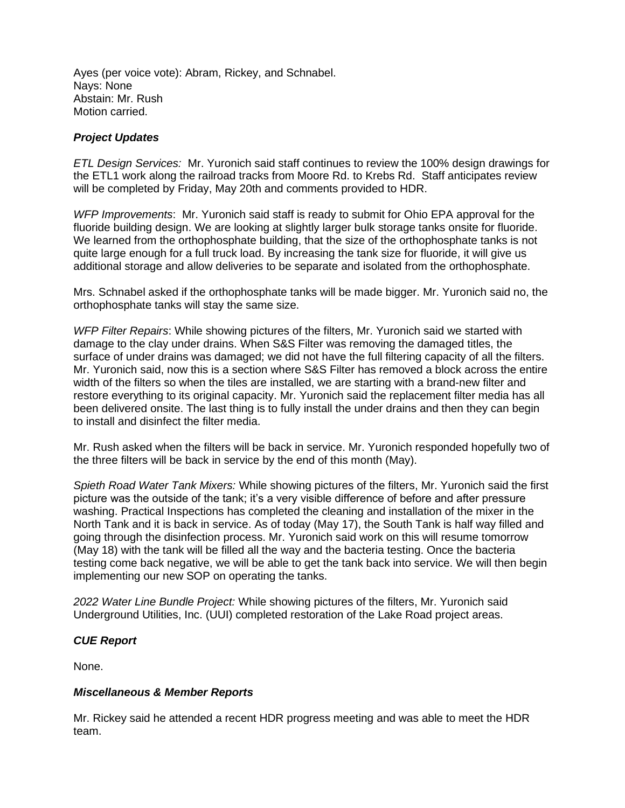Ayes (per voice vote): Abram, Rickey, and Schnabel. Nays: None Abstain: Mr. Rush Motion carried.

# *Project Updates*

*ETL Design Services:* Mr. Yuronich said staff continues to review the 100% design drawings for the ETL1 work along the railroad tracks from Moore Rd. to Krebs Rd. Staff anticipates review will be completed by Friday, May 20th and comments provided to HDR.

*WFP Improvements*: Mr. Yuronich said staff is ready to submit for Ohio EPA approval for the fluoride building design. We are looking at slightly larger bulk storage tanks onsite for fluoride. We learned from the orthophosphate building, that the size of the orthophosphate tanks is not quite large enough for a full truck load. By increasing the tank size for fluoride, it will give us additional storage and allow deliveries to be separate and isolated from the orthophosphate.

Mrs. Schnabel asked if the orthophosphate tanks will be made bigger. Mr. Yuronich said no, the orthophosphate tanks will stay the same size.

*WFP Filter Repairs*: While showing pictures of the filters, Mr. Yuronich said we started with damage to the clay under drains. When S&S Filter was removing the damaged titles, the surface of under drains was damaged; we did not have the full filtering capacity of all the filters. Mr. Yuronich said, now this is a section where S&S Filter has removed a block across the entire width of the filters so when the tiles are installed, we are starting with a brand-new filter and restore everything to its original capacity. Mr. Yuronich said the replacement filter media has all been delivered onsite. The last thing is to fully install the under drains and then they can begin to install and disinfect the filter media.

Mr. Rush asked when the filters will be back in service. Mr. Yuronich responded hopefully two of the three filters will be back in service by the end of this month (May).

*Spieth Road Water Tank Mixers:* While showing pictures of the filters, Mr. Yuronich said the first picture was the outside of the tank; it's a very visible difference of before and after pressure washing. Practical Inspections has completed the cleaning and installation of the mixer in the North Tank and it is back in service. As of today (May 17), the South Tank is half way filled and going through the disinfection process. Mr. Yuronich said work on this will resume tomorrow (May 18) with the tank will be filled all the way and the bacteria testing. Once the bacteria testing come back negative, we will be able to get the tank back into service. We will then begin implementing our new SOP on operating the tanks.

*2022 Water Line Bundle Project:* While showing pictures of the filters, Mr. Yuronich said Underground Utilities, Inc. (UUI) completed restoration of the Lake Road project areas.

# *CUE Report*

None.

# *Miscellaneous & Member Reports*

Mr. Rickey said he attended a recent HDR progress meeting and was able to meet the HDR team.